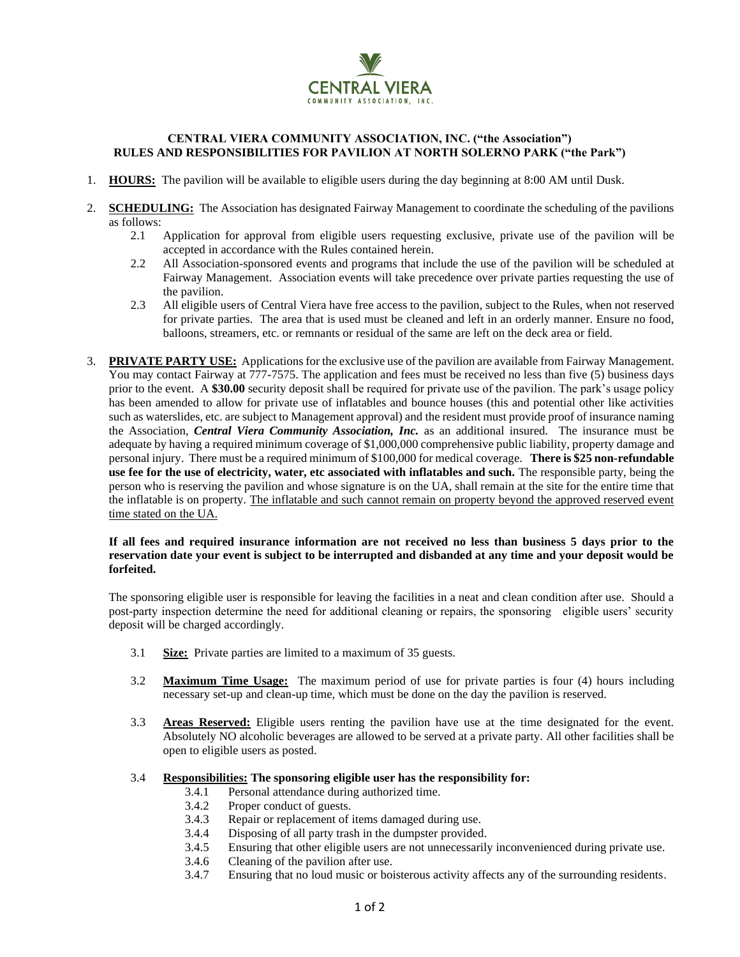

# **CENTRAL VIERA COMMUNITY ASSOCIATION, INC. ("the Association") RULES AND RESPONSIBILITIES FOR PAVILION AT NORTH SOLERNO PARK ("the Park")**

- 1. **HOURS:** The pavilion will be available to eligible users during the day beginning at 8:00 AM until Dusk.
- 2. **SCHEDULING:** The Association has designated Fairway Management to coordinate the scheduling of the pavilions as follows:
	- 2.1 Application for approval from eligible users requesting exclusive, private use of the pavilion will be accepted in accordance with the Rules contained herein.
	- 2.2 All Association-sponsored events and programs that include the use of the pavilion will be scheduled at Fairway Management. Association events will take precedence over private parties requesting the use of the pavilion.
	- 2.3 All eligible users of Central Viera have free access to the pavilion, subject to the Rules, when not reserved for private parties. The area that is used must be cleaned and left in an orderly manner. Ensure no food, balloons, streamers, etc. or remnants or residual of the same are left on the deck area or field.
- 3. **PRIVATE PARTY USE:** Applications for the exclusive use of the pavilion are available from Fairway Management. You may contact Fairway at 777-7575. The application and fees must be received no less than five (5) business days prior to the event. A **\$30.00** security deposit shall be required for private use of the pavilion. The park's usage policy has been amended to allow for private use of inflatables and bounce houses (this and potential other like activities such as waterslides, etc. are subject to Management approval) and the resident must provide proof of insurance naming the Association, *Central Viera Community Association, Inc.* as an additional insured. The insurance must be adequate by having a required minimum coverage of \$1,000,000 comprehensive public liability, property damage and personal injury. There must be a required minimum of \$100,000 for medical coverage. **There is \$25 non-refundable use fee for the use of electricity, water, etc associated with inflatables and such.** The responsible party, being the person who is reserving the pavilion and whose signature is on the UA, shall remain at the site for the entire time that the inflatable is on property. The inflatable and such cannot remain on property beyond the approved reserved event time stated on the UA.

#### **If all fees and required insurance information are not received no less than business 5 days prior to the reservation date your event is subject to be interrupted and disbanded at any time and your deposit would be forfeited.**

The sponsoring eligible user is responsible for leaving the facilities in a neat and clean condition after use. Should a post-party inspection determine the need for additional cleaning or repairs, the sponsoring eligible users' security deposit will be charged accordingly.

- 3.1 **Size:** Private parties are limited to a maximum of 35 guests.
- 3.2 **Maximum Time Usage:** The maximum period of use for private parties is four (4) hours including necessary set-up and clean-up time, which must be done on the day the pavilion is reserved.
- 3.3 **Areas Reserved:** Eligible users renting the pavilion have use at the time designated for the event. Absolutely NO alcoholic beverages are allowed to be served at a private party. All other facilities shall be open to eligible users as posted.

## 3.4 **Responsibilities: The sponsoring eligible user has the responsibility for:**

- 3.4.1 Personal attendance during authorized time.
- 3.4.2 Proper conduct of guests.
- 3.4.3 Repair or replacement of items damaged during use.
- 3.4.4 Disposing of all party trash in the dumpster provided.
- 3.4.5 Ensuring that other eligible users are not unnecessarily inconvenienced during private use.
- 3.4.6 Cleaning of the pavilion after use.
- 3.4.7 Ensuring that no loud music or boisterous activity affects any of the surrounding residents.